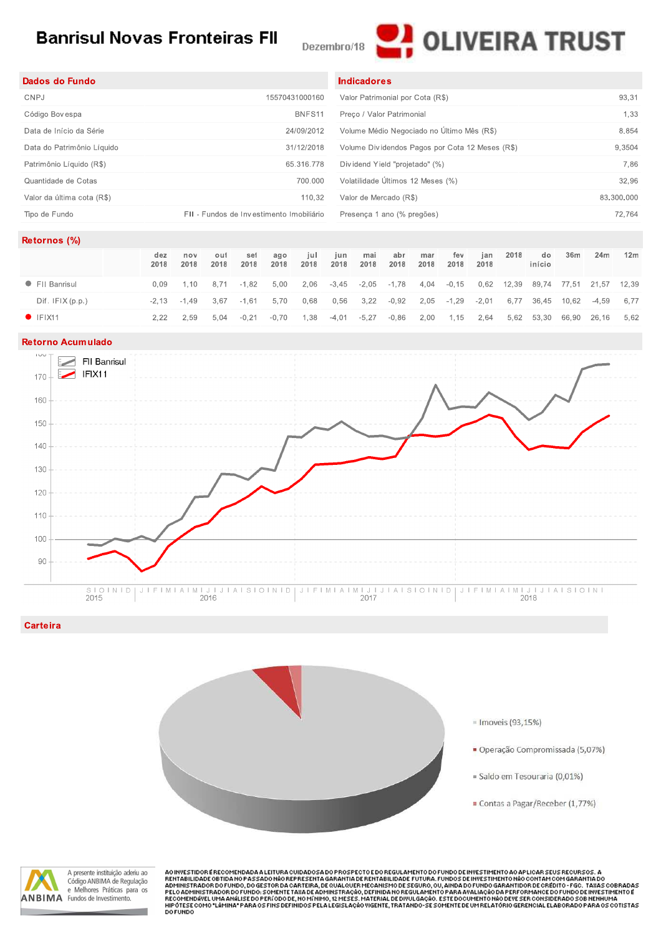# **Banrisul Novas Fronteiras FII**

Dezembro/18



| Dados do Fundo             |                                          | <b>Indicadores</b>                              |            |
|----------------------------|------------------------------------------|-------------------------------------------------|------------|
| CNPJ                       | 15570431000160                           | Valor Patrimonial por Cota (R\$)                | 93.31      |
| Código Bovespa             | BNFS11                                   | Preco / Valor Patrimonial                       | 1,33       |
| Data de Início da Série    | 24/09/2012                               | Volume Médio Negociado no Último Mês (R\$)      | 8.854      |
| Data do Patrimônio Líquido | 31/12/2018                               | Volume Dividendos Pagos por Cota 12 Meses (R\$) | 9,3504     |
| Patrimônio Líquido (R\$)   | 65.316.778                               | Dividend Yield "projetado" (%)                  | 7,86       |
| Quantidade de Cotas        | 700.000                                  | Volatilidade Últimos 12 Meses (%)               | 32,96      |
| Valor da última cota (R\$) | 110.32                                   | Valor de Mercado (R\$)                          | 83.300.000 |
| Tipo de Fundo              | FII - Fundos de Investimento Imobiliário | Presença 1 ano (% pregões)                      | 72.764     |

### Retornos (%)

|                   | dez<br>2018 | nov<br>2018 | out<br>2018 | set<br>2018 | ago<br>2018 | iul.<br>2018 | iun.<br>2018 | mai<br>2018 | abr<br>2018                       | mar<br>2018 | fev<br>2018 | jan<br>2018 | 2018 | do<br>início                       | 36m | 24m | 12 <sub>m</sub> |
|-------------------|-------------|-------------|-------------|-------------|-------------|--------------|--------------|-------------|-----------------------------------|-------------|-------------|-------------|------|------------------------------------|-----|-----|-----------------|
| • FII Banrisul    | 0 Q.S       | 1.10        | 8.71        | -1.82       | 5.00        |              |              |             | 2,06 -3,45 -2,05 -1,78 4,04 -0,15 |             |             |             |      | 0,62 12,39 89,74 77,51 21,57 12,39 |     |     |                 |
| Dif. $IFIX(p.p.)$ |             | -2.13 -1.49 | 3.67        | $-1.61$     | 5.70        | 0.68         | 0,56         |             | $3,22$ $-0,92$                    |             | 2,05 -1,29  | $-2,01$     |      | 6,77 36,45 10,62 -4,59             |     |     | 6.77            |
| $\bullet$ IFIX11  | 2.22        | 2.59        | 5.04        | $-0.21$     | -0.70       | 1.38         | $-4,01$      | $-5,27$     | -0.86                             |             | 2,00 1,15   | 2.64        |      | 5,62 53,30 66,90 26,16             |     |     | 5.62            |

#### **Retorno Acumulado**



## Carteira





A presente instituição aderiu ao Código ANBIMA de Regulação e Melhores Práticas para os **ANBIMA** Fundos de Investimento.

AO INVESTIDORE RECOMENDADA A LEITURA CUIDADOSA DO PROSPECTO E DO REGULAMENTO DO FUNDO DE INVESTIMENTO AO APLICAR SEUS RECURSOS. A AO INVESTIDOR ERECOMENDADA ALEITURA CUIDADOSA DO PROSPECTO E DO REGULAMENTO DO FUNDO E INVESTIMENTO AO APLICAR SEUS RECONSOS. A<br>ADMINISTRADOR DE TIDANO PASSADO NÃO REPRESENTA GARANTIA DE RENTABLIDADE FUTURA, FUNDOS DE INVE